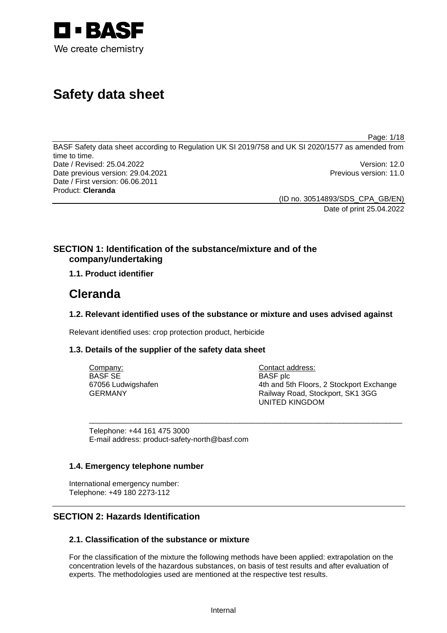

# **Safety data sheet**

Page: 1/18

BASF Safety data sheet according to Regulation UK SI 2019/758 and UK SI 2020/1577 as amended from time to time. Date / Revised: 25.04.2022 Version: 12.0 Date previous version: 29.04.2021 **Previous version: 11.0** Date / First version: 06.06.2011 Product: **Cleranda** 

> (ID no. 30514893/SDS\_CPA\_GB/EN) Date of print 25.04.2022

# **SECTION 1: Identification of the substance/mixture and of the company/undertaking**

# **1.1. Product identifier**

# **Cleranda**

# **1.2. Relevant identified uses of the substance or mixture and uses advised against**

Relevant identified uses: crop protection product, herbicide

# **1.3. Details of the supplier of the safety data sheet**

| Company:           | Contact address:                         |
|--------------------|------------------------------------------|
| <b>BASF SE</b>     | <b>BASF</b> plc                          |
| 67056 Ludwigshafen | 4th and 5th Floors, 2 Stockport Exchange |
| GERMANY            | Railway Road, Stockport, SK1 3GG         |
|                    | <b>UNITED KINGDOM</b>                    |

\_\_\_\_\_\_\_\_\_\_\_\_\_\_\_\_\_\_\_\_\_\_\_\_\_\_\_\_\_\_\_\_\_\_\_\_\_\_\_\_\_\_\_\_\_\_\_\_\_\_\_\_\_\_\_\_\_\_\_\_\_\_\_\_\_\_\_\_\_\_\_\_\_\_\_

Telephone: +44 161 475 3000 E-mail address: product-safety-north@basf.com

# **1.4. Emergency telephone number**

International emergency number: Telephone: +49 180 2273-112

# **SECTION 2: Hazards Identification**

# **2.1. Classification of the substance or mixture**

For the classification of the mixture the following methods have been applied: extrapolation on the concentration levels of the hazardous substances, on basis of test results and after evaluation of experts. The methodologies used are mentioned at the respective test results.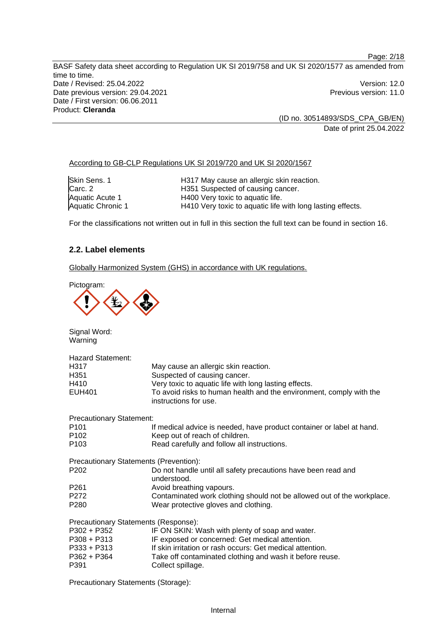> (ID no. 30514893/SDS\_CPA\_GB/EN) Date of print 25.04.2022

According to GB-CLP Regulations UK SI 2019/720 and UK SI 2020/1567

| Skin Sens. 1      | H317 May cause an allergic skin reaction.                  |
|-------------------|------------------------------------------------------------|
| Carc. 2           | H351 Suspected of causing cancer.                          |
| Aquatic Acute 1   | H400 Very toxic to aquatic life.                           |
| Aquatic Chronic 1 | H410 Very toxic to aquatic life with long lasting effects. |

For the classifications not written out in full in this section the full text can be found in section 16.

# **2.2. Label elements**

Globally Harmonized System (GHS) in accordance with UK regulations.

Pictogram:



Signal Word: Warning

| <b>Hazard Statement:</b>        |                                                                                              |
|---------------------------------|----------------------------------------------------------------------------------------------|
| H317                            | May cause an allergic skin reaction.                                                         |
| H351                            | Suspected of causing cancer.                                                                 |
| H410                            | Very toxic to aquatic life with long lasting effects.                                        |
| EUH401                          | To avoid risks to human health and the environment, comply with the<br>instructions for use. |
| <b>Precautionary Statement:</b> |                                                                                              |
| P101                            | If medical advice is needed, have product container or label at hand.                        |
| P102                            | Keep out of reach of children.                                                               |
| P103                            | Read carefully and follow all instructions.                                                  |
|                                 | <b>Precautionary Statements (Prevention):</b>                                                |
| P202                            | Do not handle until all safety precautions have been read and<br>understood.                 |
| P261                            | Avoid breathing vapours.                                                                     |
| P272                            | Contaminated work clothing should not be allowed out of the workplace.                       |
| P280                            | Wear protective gloves and clothing.                                                         |
|                                 | Precautionary Statements (Response):                                                         |
| P302 + P352                     | IF ON SKIN: Wash with plenty of soap and water.                                              |
| P308 + P313                     | IF exposed or concerned: Get medical attention.                                              |
| P333 + P313                     | If skin irritation or rash occurs: Get medical attention.                                    |
| P362 + P364                     | Take off contaminated clothing and wash it before reuse.                                     |

P391 Collect spillage.

Precautionary Statements (Storage):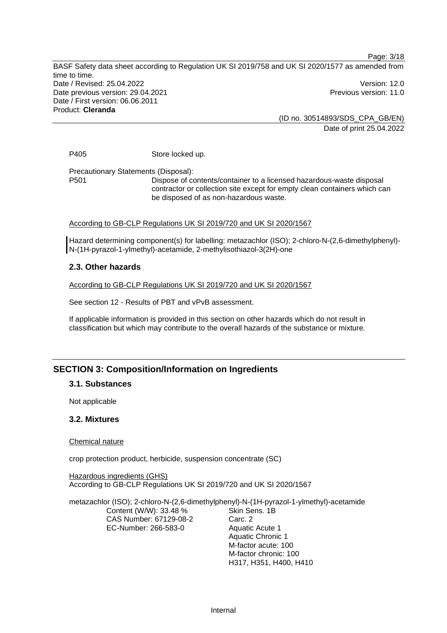(ID no. 30514893/SDS\_CPA\_GB/EN) Date of print 25.04.2022

Page: 3/18

P405 Store locked up.

Precautionary Statements (Disposal): P501 Dispose of contents/container to a licensed hazardous-waste disposal contractor or collection site except for empty clean containers which can be disposed of as non-hazardous waste.

According to GB-CLP Regulations UK SI 2019/720 and UK SI 2020/1567

Hazard determining component(s) for labelling: metazachlor (ISO); 2-chloro-N-(2,6-dimethylphenyl)- N-(1H-pyrazol-1-ylmethyl)-acetamide, 2-methylisothiazol-3(2H)-one

# **2.3. Other hazards**

According to GB-CLP Regulations UK SI 2019/720 and UK SI 2020/1567

See section 12 - Results of PBT and vPvB assessment.

If applicable information is provided in this section on other hazards which do not result in classification but which may contribute to the overall hazards of the substance or mixture.

# **SECTION 3: Composition/Information on Ingredients**

#### **3.1. Substances**

Not applicable

#### **3.2. Mixtures**

Chemical nature

crop protection product, herbicide, suspension concentrate (SC)

Hazardous ingredients (GHS) According to GB-CLP Regulations UK SI 2019/720 and UK SI 2020/1567

metazachlor (ISO); 2-chloro-N-(2,6-dimethylphenyl)-N-(1H-pyrazol-1-ylmethyl)-acetamide

Content (W/W): 33.48 % CAS Number: 67129-08-2 EC-Number: 266-583-0

Skin Sens. 1B Carc. 2 Aquatic Acute 1 Aquatic Chronic 1 M-factor acute: 100 M-factor chronic: 100 H317, H351, H400, H410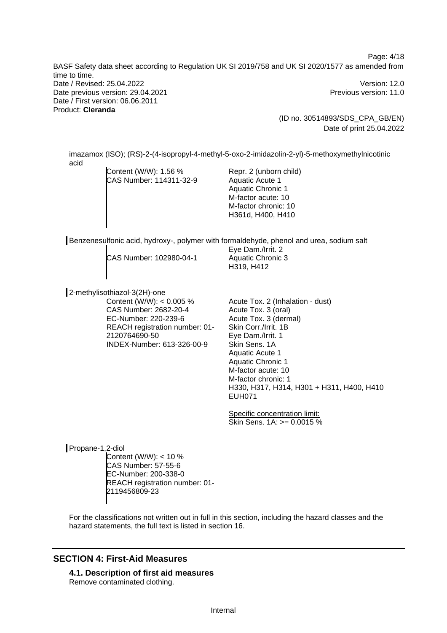> (ID no. 30514893/SDS\_CPA\_GB/EN) Date of print 25.04.2022

imazamox (ISO); (RS)-2-(4-isopropyl-4-methyl-5-oxo-2-imidazolin-2-yl)-5-methoxymethylnicotinic acid

Content (W/W): 1.56 % CAS Number: 114311-32-9

Repr. 2 (unborn child) Aquatic Acute 1 Aquatic Chronic 1 M-factor acute: 10 M-factor chronic: 10 H361d, H400, H410

Eye Dam./Irrit. 2 Aquatic Chronic 3 H319, H412

Benzenesulfonic acid, hydroxy-, polymer with formaldehyde, phenol and urea, sodium salt

CAS Number: 102980-04-1

2-methylisothiazol-3(2H)-one

Content (W/W): < 0.005 % CAS Number: 2682-20-4 EC-Number: 220-239-6 REACH registration number: 01- 2120764690-50 INDEX-Number: 613-326-00-9

Acute Tox. 2 (Inhalation - dust) Acute Tox. 3 (oral) Acute Tox. 3 (dermal) Skin Corr./Irrit. 1B Eye Dam./Irrit. 1 Skin Sens. 1A Aquatic Acute 1 Aquatic Chronic 1 M-factor acute: 10 M-factor chronic: 1 H330, H317, H314, H301 + H311, H400, H410 EUH071

Specific concentration limit: Skin Sens. 1A: >= 0.0015 %

Propane-1,2-diol

Content (W/W): < 10 % CAS Number: 57-55-6 EC-Number: 200-338-0 REACH registration number: 01- 2119456809-23

For the classifications not written out in full in this section, including the hazard classes and the hazard statements, the full text is listed in section 16.

# **SECTION 4: First-Aid Measures**

**4.1. Description of first aid measures**  Remove contaminated clothing.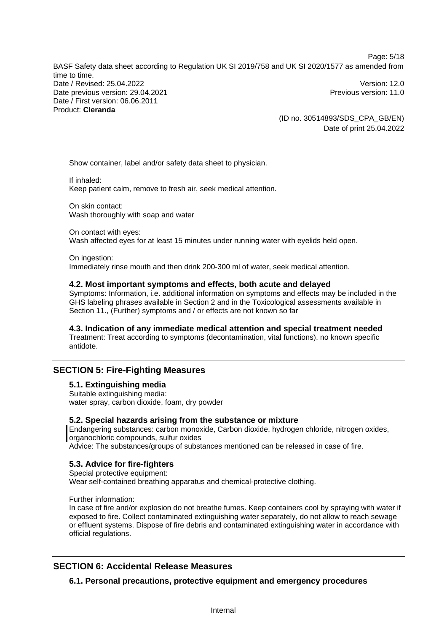(ID no. 30514893/SDS\_CPA\_GB/EN) Date of print 25.04.2022

Page: 5/18

Show container, label and/or safety data sheet to physician.

If inhaled: Keep patient calm, remove to fresh air, seek medical attention.

On skin contact: Wash thoroughly with soap and water

On contact with eyes: Wash affected eyes for at least 15 minutes under running water with eyelids held open.

On ingestion: Immediately rinse mouth and then drink 200-300 ml of water, seek medical attention.

# **4.2. Most important symptoms and effects, both acute and delayed**

Symptoms: Information, i.e. additional information on symptoms and effects may be included in the GHS labeling phrases available in Section 2 and in the Toxicological assessments available in Section 11., (Further) symptoms and / or effects are not known so far

# **4.3. Indication of any immediate medical attention and special treatment needed**

Treatment: Treat according to symptoms (decontamination, vital functions), no known specific antidote.

# **SECTION 5: Fire-Fighting Measures**

# **5.1. Extinguishing media**

Suitable extinguishing media: water spray, carbon dioxide, foam, dry powder

#### **5.2. Special hazards arising from the substance or mixture**

Endangering substances: carbon monoxide, Carbon dioxide, hydrogen chloride, nitrogen oxides, organochloric compounds, sulfur oxides

Advice: The substances/groups of substances mentioned can be released in case of fire.

# **5.3. Advice for fire-fighters**

Special protective equipment: Wear self-contained breathing apparatus and chemical-protective clothing.

#### Further information:

In case of fire and/or explosion do not breathe fumes. Keep containers cool by spraying with water if exposed to fire. Collect contaminated extinguishing water separately, do not allow to reach sewage or effluent systems. Dispose of fire debris and contaminated extinguishing water in accordance with official regulations.

# **SECTION 6: Accidental Release Measures**

**6.1. Personal precautions, protective equipment and emergency procedures**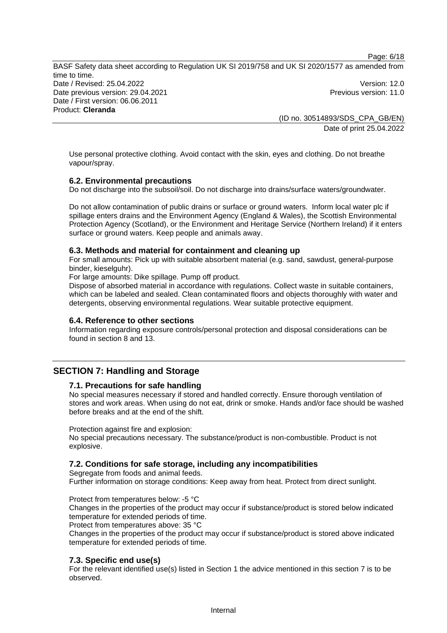Page: 6/18

BASF Safety data sheet according to Regulation UK SI 2019/758 and UK SI 2020/1577 as amended from time to time. Date / Revised: 25.04.2022 Version: 12.0 Date previous version: 29.04.2021 **Previous version: 11.0** Previous version: 11.0 Date / First version: 06.06.2011 Product: **Cleranda** 

(ID no. 30514893/SDS\_CPA\_GB/EN) Date of print 25.04.2022

Use personal protective clothing. Avoid contact with the skin, eyes and clothing. Do not breathe vapour/spray.

# **6.2. Environmental precautions**

Do not discharge into the subsoil/soil. Do not discharge into drains/surface waters/groundwater.

Do not allow contamination of public drains or surface or ground waters. Inform local water plc if spillage enters drains and the Environment Agency (England & Wales), the Scottish Environmental Protection Agency (Scotland), or the Environment and Heritage Service (Northern Ireland) if it enters surface or ground waters. Keep people and animals away.

### **6.3. Methods and material for containment and cleaning up**

For small amounts: Pick up with suitable absorbent material (e.g. sand, sawdust, general-purpose binder, kieselguhr).

For large amounts: Dike spillage. Pump off product.

Dispose of absorbed material in accordance with regulations. Collect waste in suitable containers, which can be labeled and sealed. Clean contaminated floors and objects thoroughly with water and detergents, observing environmental regulations. Wear suitable protective equipment.

# **6.4. Reference to other sections**

Information regarding exposure controls/personal protection and disposal considerations can be found in section 8 and 13.

# **SECTION 7: Handling and Storage**

# **7.1. Precautions for safe handling**

No special measures necessary if stored and handled correctly. Ensure thorough ventilation of stores and work areas. When using do not eat, drink or smoke. Hands and/or face should be washed before breaks and at the end of the shift.

Protection against fire and explosion:

No special precautions necessary. The substance/product is non-combustible. Product is not explosive.

# **7.2. Conditions for safe storage, including any incompatibilities**

Segregate from foods and animal feeds. Further information on storage conditions: Keep away from heat. Protect from direct sunlight.

Protect from temperatures below: -5 °C

Changes in the properties of the product may occur if substance/product is stored below indicated temperature for extended periods of time.

Protect from temperatures above: 35 °C

Changes in the properties of the product may occur if substance/product is stored above indicated temperature for extended periods of time.

# **7.3. Specific end use(s)**

For the relevant identified use(s) listed in Section 1 the advice mentioned in this section 7 is to be observed.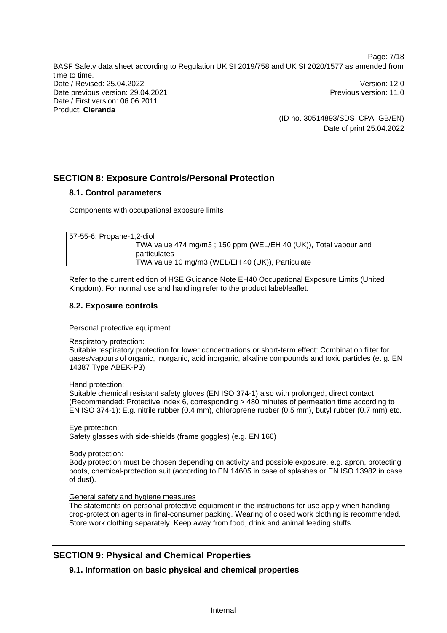> (ID no. 30514893/SDS\_CPA\_GB/EN) Date of print 25.04.2022

# **SECTION 8: Exposure Controls/Personal Protection**

# **8.1. Control parameters**

Components with occupational exposure limits

57-55-6: Propane-1,2-diol

TWA value 474 mg/m3 ; 150 ppm (WEL/EH 40 (UK)), Total vapour and particulates TWA value 10 mg/m3 (WEL/EH 40 (UK)), Particulate

Refer to the current edition of HSE Guidance Note EH40 Occupational Exposure Limits (United Kingdom). For normal use and handling refer to the product label/leaflet.

# **8.2. Exposure controls**

Personal protective equipment

Respiratory protection:

Suitable respiratory protection for lower concentrations or short-term effect: Combination filter for gases/vapours of organic, inorganic, acid inorganic, alkaline compounds and toxic particles (e. g. EN 14387 Type ABEK-P3)

Hand protection:

Suitable chemical resistant safety gloves (EN ISO 374-1) also with prolonged, direct contact (Recommended: Protective index 6, corresponding > 480 minutes of permeation time according to EN ISO 374-1): E.g. nitrile rubber (0.4 mm), chloroprene rubber (0.5 mm), butyl rubber (0.7 mm) etc.

Eye protection: Safety glasses with side-shields (frame goggles) (e.g. EN 166)

Body protection:

Body protection must be chosen depending on activity and possible exposure, e.g. apron, protecting boots, chemical-protection suit (according to EN 14605 in case of splashes or EN ISO 13982 in case of dust).

#### General safety and hygiene measures

The statements on personal protective equipment in the instructions for use apply when handling crop-protection agents in final-consumer packing. Wearing of closed work clothing is recommended. Store work clothing separately. Keep away from food, drink and animal feeding stuffs.

# **SECTION 9: Physical and Chemical Properties**

**9.1. Information on basic physical and chemical properties**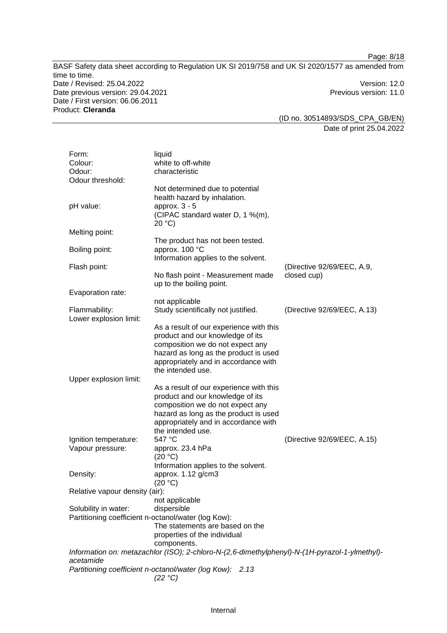Page: 8/18

BASF Safety data sheet according to Regulation UK SI 2019/758 and UK SI 2020/1577 as amended from time to time. Date / Revised: 25.04.2022 Version: 12.0 Date previous version: 29.04.2021 **Previous version: 11.0** Previous version: 11.0 Date / First version: 06.06.2011 Product: **Cleranda** 

(ID no. 30514893/SDS\_CPA\_GB/EN) Date of print 25.04.2022

| Form:                                   | liquid<br>white to off-white                                                                  |                             |
|-----------------------------------------|-----------------------------------------------------------------------------------------------|-----------------------------|
| Colour:<br>Odour:                       | characteristic                                                                                |                             |
| Odour threshold:                        |                                                                                               |                             |
|                                         | Not determined due to potential<br>health hazard by inhalation.                               |                             |
| pH value:                               | approx. $3 - 5$                                                                               |                             |
|                                         | (CIPAC standard water D, 1 %(m),<br>20 °C                                                     |                             |
| Melting point:                          |                                                                                               |                             |
| Boiling point:                          | The product has not been tested.<br>approx. 100 °C                                            |                             |
| Flash point:                            | Information applies to the solvent.                                                           | (Directive 92/69/EEC, A.9,  |
|                                         | No flash point - Measurement made<br>up to the boiling point.                                 | closed cup)                 |
| Evaporation rate:                       |                                                                                               |                             |
|                                         | not applicable<br>Study scientifically not justified.                                         |                             |
| Flammability:<br>Lower explosion limit: |                                                                                               | (Directive 92/69/EEC, A.13) |
|                                         | As a result of our experience with this                                                       |                             |
|                                         | product and our knowledge of its                                                              |                             |
|                                         | composition we do not expect any                                                              |                             |
|                                         | hazard as long as the product is used                                                         |                             |
|                                         | appropriately and in accordance with<br>the intended use.                                     |                             |
| Upper explosion limit:                  |                                                                                               |                             |
|                                         | As a result of our experience with this                                                       |                             |
|                                         | product and our knowledge of its                                                              |                             |
|                                         | composition we do not expect any                                                              |                             |
|                                         | hazard as long as the product is used                                                         |                             |
|                                         | appropriately and in accordance with<br>the intended use.                                     |                             |
| Ignition temperature:                   | 547 °C                                                                                        | (Directive 92/69/EEC, A.15) |
| Vapour pressure:                        | approx. 23.4 hPa                                                                              |                             |
|                                         | (20 °C)                                                                                       |                             |
|                                         | Information applies to the solvent.                                                           |                             |
| Density:                                | approx. 1.12 g/cm3<br>(20 °C)                                                                 |                             |
| Relative vapour density (air):          |                                                                                               |                             |
|                                         | not applicable                                                                                |                             |
| Solubility in water:                    | dispersible<br>Partitioning coefficient n-octanol/water (log Kow):                            |                             |
|                                         | The statements are based on the                                                               |                             |
|                                         | properties of the individual                                                                  |                             |
|                                         | components.                                                                                   |                             |
|                                         | Information on: metazachlor (ISO); 2-chloro-N-(2,6-dimethylphenyl)-N-(1H-pyrazol-1-ylmethyl)- |                             |
| acetamide                               |                                                                                               |                             |
|                                         | Partitioning coefficient n-octanol/water (log Kow):<br>2.13<br>(22 °C)                        |                             |
|                                         |                                                                                               |                             |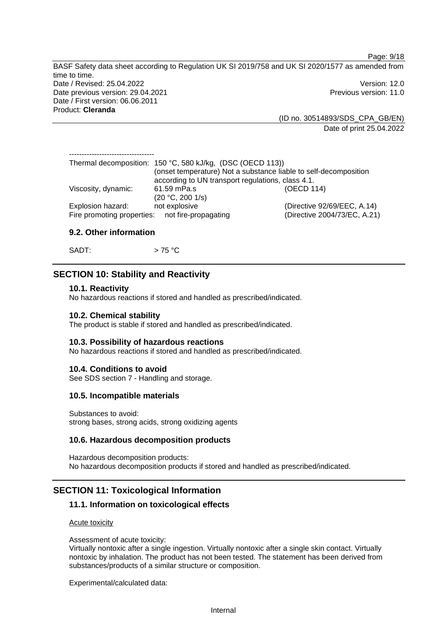(ID no. 30514893/SDS\_CPA\_GB/EN) Date of print 25.04.2022

Page: 9/18

|                                                 | Thermal decomposition: 150 °C, 580 kJ/kg, (DSC (OECD 113))                                                            |                                                             |
|-------------------------------------------------|-----------------------------------------------------------------------------------------------------------------------|-------------------------------------------------------------|
|                                                 | (onset temperature) Not a substance liable to self-decomposition<br>according to UN transport regulations, class 4.1. |                                                             |
| Viscosity, dynamic:                             | 61.59 mPa.s<br>(20 °C, 200 1/s)                                                                                       | (OECD 114)                                                  |
| Explosion hazard:<br>Fire promoting properties: | not explosive<br>not fire-propagating                                                                                 | (Directive 92/69/EEC, A.14)<br>(Directive 2004/73/EC, A.21) |

### **9.2. Other information**

SADT:  $> 75 \degree C$ 

# **SECTION 10: Stability and Reactivity**

#### **10.1. Reactivity**

No hazardous reactions if stored and handled as prescribed/indicated.

#### **10.2. Chemical stability**

The product is stable if stored and handled as prescribed/indicated.

#### **10.3. Possibility of hazardous reactions**

No hazardous reactions if stored and handled as prescribed/indicated.

#### **10.4. Conditions to avoid**

See SDS section 7 - Handling and storage.

#### **10.5. Incompatible materials**

Substances to avoid: strong bases, strong acids, strong oxidizing agents

### **10.6. Hazardous decomposition products**

Hazardous decomposition products: No hazardous decomposition products if stored and handled as prescribed/indicated.

# **SECTION 11: Toxicological Information**

### **11.1. Information on toxicological effects**

#### Acute toxicity

#### Assessment of acute toxicity:

Virtually nontoxic after a single ingestion. Virtually nontoxic after a single skin contact. Virtually nontoxic by inhalation. The product has not been tested. The statement has been derived from substances/products of a similar structure or composition.

Experimental/calculated data: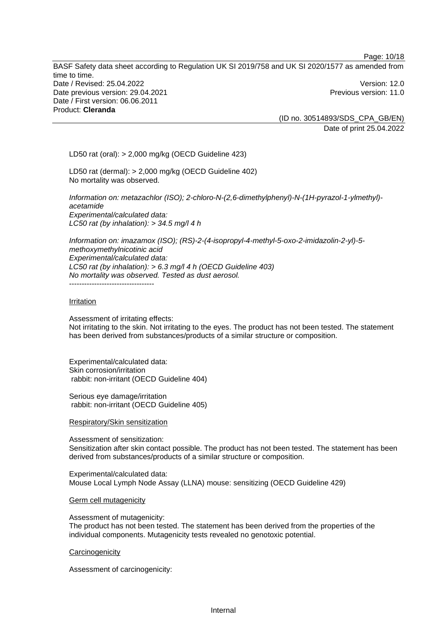Page: 10/18

BASF Safety data sheet according to Regulation UK SI 2019/758 and UK SI 2020/1577 as amended from time to time. Date / Revised: 25.04.2022 Version: 12.0 Date previous version: 29.04.2021 **Previous version: 11.0** Previous version: 11.0 Date / First version: 06.06.2011 Product: **Cleranda** 

> (ID no. 30514893/SDS\_CPA\_GB/EN) Date of print 25.04.2022

LD50 rat (oral): > 2,000 mg/kg (OECD Guideline 423)

LD50 rat (dermal): > 2,000 mg/kg (OECD Guideline 402) No mortality was observed.

*Information on: metazachlor (ISO); 2-chloro-N-(2,6-dimethylphenyl)-N-(1H-pyrazol-1-ylmethyl) acetamide Experimental/calculated data: LC50 rat (by inhalation): > 34.5 mg/l 4 h* 

*Information on: imazamox (ISO); (RS)-2-(4-isopropyl-4-methyl-5-oxo-2-imidazolin-2-yl)-5 methoxymethylnicotinic acid Experimental/calculated data: LC50 rat (by inhalation): > 6.3 mg/l 4 h (OECD Guideline 403) No mortality was observed. Tested as dust aerosol.* 

----------------------------------

#### Irritation

Assessment of irritating effects: Not irritating to the skin. Not irritating to the eyes. The product has not been tested. The statement has been derived from substances/products of a similar structure or composition.

Experimental/calculated data: Skin corrosion/irritation rabbit: non-irritant (OECD Guideline 404)

Serious eye damage/irritation rabbit: non-irritant (OECD Guideline 405)

Respiratory/Skin sensitization

Assessment of sensitization: Sensitization after skin contact possible. The product has not been tested. The statement has been derived from substances/products of a similar structure or composition.

Experimental/calculated data: Mouse Local Lymph Node Assay (LLNA) mouse: sensitizing (OECD Guideline 429)

#### Germ cell mutagenicity

Assessment of mutagenicity: The product has not been tested. The statement has been derived from the properties of the individual components. Mutagenicity tests revealed no genotoxic potential.

#### **Carcinogenicity**

Assessment of carcinogenicity: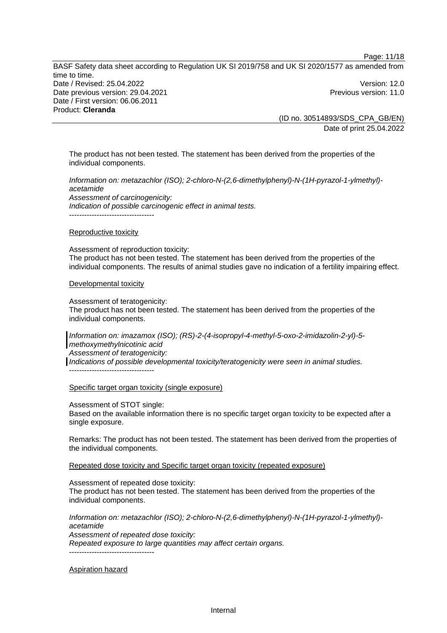Page: 11/18

BASF Safety data sheet according to Regulation UK SI 2019/758 and UK SI 2020/1577 as amended from time to time. Date / Revised: 25.04.2022 Version: 12.0 Date previous version: 29.04.2021 **Previous version: 11.0** Previous version: 11.0 Date / First version: 06.06.2011 Product: **Cleranda** 

(ID no. 30514893/SDS\_CPA\_GB/EN) Date of print 25.04.2022

The product has not been tested. The statement has been derived from the properties of the individual components.

*Information on: metazachlor (ISO); 2-chloro-N-(2,6-dimethylphenyl)-N-(1H-pyrazol-1-ylmethyl) acetamide Assessment of carcinogenicity: Indication of possible carcinogenic effect in animal tests.*  ----------------------------------

Reproductive toxicity

Assessment of reproduction toxicity: The product has not been tested. The statement has been derived from the properties of the individual components. The results of animal studies gave no indication of a fertility impairing effect.

#### Developmental toxicity

Assessment of teratogenicity:

The product has not been tested. The statement has been derived from the properties of the individual components.

*Information on: imazamox (ISO); (RS)-2-(4-isopropyl-4-methyl-5-oxo-2-imidazolin-2-yl)-5 methoxymethylnicotinic acid Assessment of teratogenicity: Indications of possible developmental toxicity/teratogenicity were seen in animal studies.* 

-----------------------------------

#### Specific target organ toxicity (single exposure)

Assessment of STOT single:

Based on the available information there is no specific target organ toxicity to be expected after a single exposure.

Remarks: The product has not been tested. The statement has been derived from the properties of the individual components.

Repeated dose toxicity and Specific target organ toxicity (repeated exposure)

Assessment of repeated dose toxicity:

The product has not been tested. The statement has been derived from the properties of the individual components.

*Information on: metazachlor (ISO); 2-chloro-N-(2,6-dimethylphenyl)-N-(1H-pyrazol-1-ylmethyl) acetamide Assessment of repeated dose toxicity: Repeated exposure to large quantities may affect certain organs.*  -----------------------------------

Aspiration hazard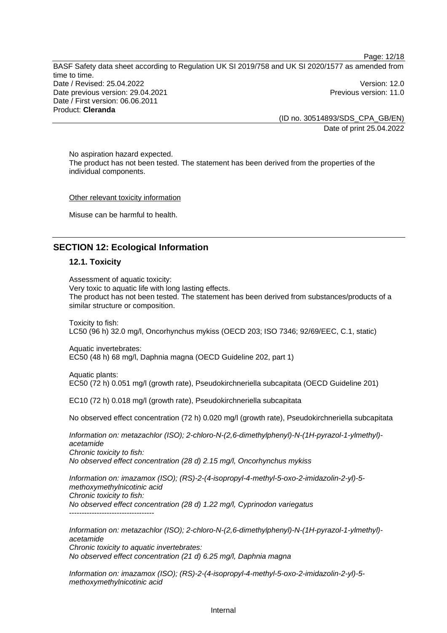Page: 12/18

BASF Safety data sheet according to Regulation UK SI 2019/758 and UK SI 2020/1577 as amended from time to time. Date / Revised: 25.04.2022 Version: 12.0 Date previous version: 29.04.2021 **Previous version: 11.0** Previous version: 11.0 Date / First version: 06.06.2011 Product: **Cleranda** 

(ID no. 30514893/SDS\_CPA\_GB/EN) Date of print 25.04.2022

No aspiration hazard expected. The product has not been tested. The statement has been derived from the properties of the individual components.

Other relevant toxicity information

Misuse can be harmful to health.

# **SECTION 12: Ecological Information**

# **12.1. Toxicity**

Assessment of aquatic toxicity:

Very toxic to aquatic life with long lasting effects.

The product has not been tested. The statement has been derived from substances/products of a similar structure or composition.

Toxicity to fish: LC50 (96 h) 32.0 mg/l, Oncorhynchus mykiss (OECD 203; ISO 7346; 92/69/EEC, C.1, static)

Aquatic invertebrates:

EC50 (48 h) 68 mg/l, Daphnia magna (OECD Guideline 202, part 1)

Aquatic plants:

EC50 (72 h) 0.051 mg/l (growth rate), Pseudokirchneriella subcapitata (OECD Guideline 201)

EC10 (72 h) 0.018 mg/l (growth rate), Pseudokirchneriella subcapitata

No observed effect concentration (72 h) 0.020 mg/l (growth rate), Pseudokirchneriella subcapitata

*Information on: metazachlor (ISO); 2-chloro-N-(2,6-dimethylphenyl)-N-(1H-pyrazol-1-ylmethyl) acetamide Chronic toxicity to fish: No observed effect concentration (28 d) 2.15 mg/l, Oncorhynchus mykiss* 

*Information on: imazamox (ISO); (RS)-2-(4-isopropyl-4-methyl-5-oxo-2-imidazolin-2-yl)-5 methoxymethylnicotinic acid Chronic toxicity to fish: No observed effect concentration (28 d) 1.22 mg/l, Cyprinodon variegatus*  ----------------------------------

*Information on: metazachlor (ISO); 2-chloro-N-(2,6-dimethylphenyl)-N-(1H-pyrazol-1-ylmethyl) acetamide Chronic toxicity to aquatic invertebrates: No observed effect concentration (21 d) 6.25 mg/l, Daphnia magna* 

*Information on: imazamox (ISO); (RS)-2-(4-isopropyl-4-methyl-5-oxo-2-imidazolin-2-yl)-5 methoxymethylnicotinic acid*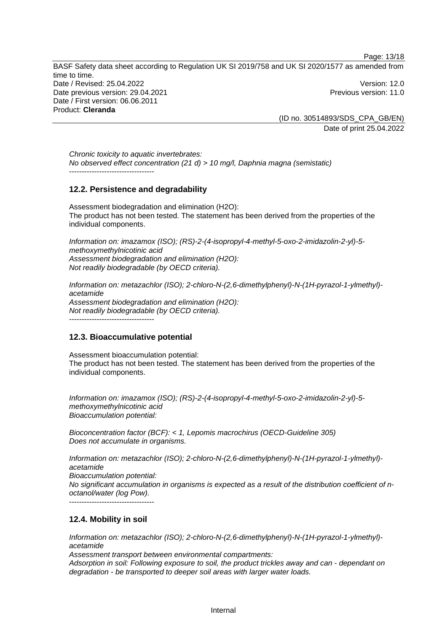Page: 13/18

BASF Safety data sheet according to Regulation UK SI 2019/758 and UK SI 2020/1577 as amended from time to time. Date / Revised: 25.04.2022 Version: 12.0 Date previous version: 29.04.2021 **Previous version: 11.0** Previous version: 11.0 Date / First version: 06.06.2011 Product: **Cleranda** 

> (ID no. 30514893/SDS\_CPA\_GB/EN) Date of print 25.04.2022

*Chronic toxicity to aquatic invertebrates: No observed effect concentration (21 d) > 10 mg/l, Daphnia magna (semistatic)*  ----------------------------------

# **12.2. Persistence and degradability**

Assessment biodegradation and elimination (H2O): The product has not been tested. The statement has been derived from the properties of the individual components.

*Information on: imazamox (ISO); (RS)-2-(4-isopropyl-4-methyl-5-oxo-2-imidazolin-2-yl)-5 methoxymethylnicotinic acid Assessment biodegradation and elimination (H2O): Not readily biodegradable (by OECD criteria).* 

*Information on: metazachlor (ISO); 2-chloro-N-(2,6-dimethylphenyl)-N-(1H-pyrazol-1-ylmethyl) acetamide Assessment biodegradation and elimination (H2O): Not readily biodegradable (by OECD criteria).*  ----------------------------------

# **12.3. Bioaccumulative potential**

Assessment bioaccumulation potential: The product has not been tested. The statement has been derived from the properties of the individual components.

*Information on: imazamox (ISO); (RS)-2-(4-isopropyl-4-methyl-5-oxo-2-imidazolin-2-yl)-5 methoxymethylnicotinic acid Bioaccumulation potential:* 

*Bioconcentration factor (BCF): < 1, Lepomis macrochirus (OECD-Guideline 305) Does not accumulate in organisms.* 

*Information on: metazachlor (ISO); 2-chloro-N-(2,6-dimethylphenyl)-N-(1H-pyrazol-1-ylmethyl) acetamide Bioaccumulation potential: No significant accumulation in organisms is expected as a result of the distribution coefficient of noctanol/water (log Pow).*   $-$ 

#### **12.4. Mobility in soil**

*Information on: metazachlor (ISO); 2-chloro-N-(2,6-dimethylphenyl)-N-(1H-pyrazol-1-ylmethyl) acetamide* 

*Assessment transport between environmental compartments:*

*Adsorption in soil: Following exposure to soil, the product trickles away and can - dependant on degradation - be transported to deeper soil areas with larger water loads.*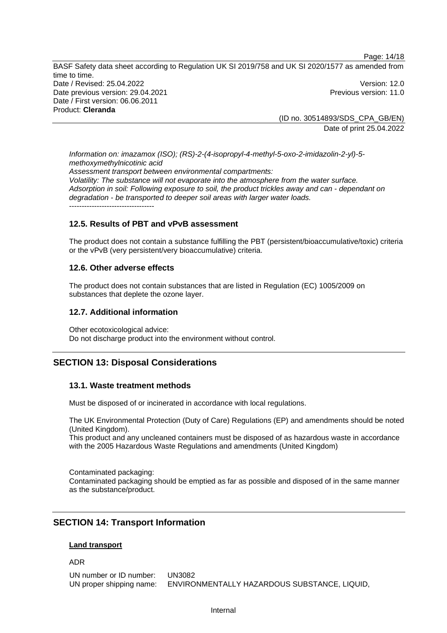(ID no. 30514893/SDS\_CPA\_GB/EN) Date of print 25.04.2022

*Information on: imazamox (ISO); (RS)-2-(4-isopropyl-4-methyl-5-oxo-2-imidazolin-2-yl)-5 methoxymethylnicotinic acid Assessment transport between environmental compartments: Volatility: The substance will not evaporate into the atmosphere from the water surface. Adsorption in soil: Following exposure to soil, the product trickles away and can - dependant on degradation - be transported to deeper soil areas with larger water loads.* ----------------------------------

# **12.5. Results of PBT and vPvB assessment**

The product does not contain a substance fulfilling the PBT (persistent/bioaccumulative/toxic) criteria or the vPvB (very persistent/very bioaccumulative) criteria.

### **12.6. Other adverse effects**

The product does not contain substances that are listed in Regulation (EC) 1005/2009 on substances that deplete the ozone layer.

#### **12.7. Additional information**

Other ecotoxicological advice: Do not discharge product into the environment without control.

# **SECTION 13: Disposal Considerations**

#### **13.1. Waste treatment methods**

Must be disposed of or incinerated in accordance with local regulations.

The UK Environmental Protection (Duty of Care) Regulations (EP) and amendments should be noted (United Kingdom).

This product and any uncleaned containers must be disposed of as hazardous waste in accordance with the 2005 Hazardous Waste Regulations and amendments (United Kingdom)

Contaminated packaging: Contaminated packaging should be emptied as far as possible and disposed of in the same manner as the substance/product.

# **SECTION 14: Transport Information**

#### **Land transport**

#### ADR

UN number or ID number: UN3082 UN proper shipping name: ENVIRONMENTALLY HAZARDOUS SUBSTANCE, LIQUID,

Internal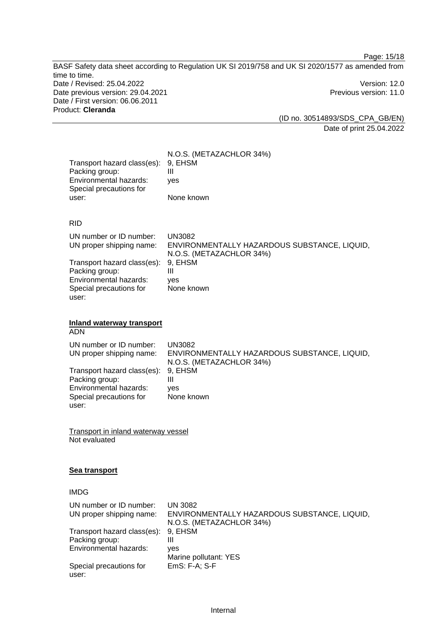Page: 15/18

BASF Safety data sheet according to Regulation UK SI 2019/758 and UK SI 2020/1577 as amended from time to time. Date / Revised: 25.04.2022 Version: 12.0 Date previous version: 29.04.2021 **Previous version: 11.0** Previous version: 11.0 Date / First version: 06.06.2011 Product: **Cleranda** 

> (ID no. 30514893/SDS\_CPA\_GB/EN) Date of print 25.04.2022

|                             | N.O.S. (METAZACHLOR 34%) |
|-----------------------------|--------------------------|
| Transport hazard class(es): | 9. EHSM                  |
| Packing group:              |                          |
| Environmental hazards:      | ves                      |
| Special precautions for     |                          |
| user:                       | None known               |

# RID

| UN number or ID number:<br>UN proper shipping name:   | UN3082<br>ENVIRONMENTALLY HAZARDOUS SUBSTANCE, LIQUID,<br>N.O.S. (METAZACHLOR 34%) |
|-------------------------------------------------------|------------------------------------------------------------------------------------|
| Transport hazard class(es): 9, EHSM<br>Packing group: | Ш                                                                                  |
| Environmental hazards:                                | ves                                                                                |
| Special precautions for<br>user:                      | None known                                                                         |

# **Inland waterway transport**

ADN

| UN number or ID number:             | UN3082                                       |
|-------------------------------------|----------------------------------------------|
| UN proper shipping name:            | ENVIRONMENTALLY HAZARDOUS SUBSTANCE, LIQUID, |
|                                     | N.O.S. (METAZACHLOR 34%)                     |
| Transport hazard class(es): 9, EHSM |                                              |
| Packing group:                      | Ш                                            |
| Environmental hazards:              | ves                                          |
| Special precautions for             | None known                                   |
| user:                               |                                              |

Transport in inland waterway vessel Not evaluated

# **Sea transport**

# IMDG

| UN number or ID number:<br>UN proper shipping name: | UN 3082<br>ENVIRONMENTALLY HAZARDOUS SUBSTANCE, LIQUID,<br>N.O.S. (METAZACHLOR 34%) |
|-----------------------------------------------------|-------------------------------------------------------------------------------------|
| Transport hazard class(es):                         | 9. EHSM                                                                             |
| Packing group:                                      | Ш                                                                                   |
| Environmental hazards:                              | yes                                                                                 |
|                                                     | Marine pollutant: YES                                                               |
| Special precautions for<br>user:                    | EmS: F-A; S-F                                                                       |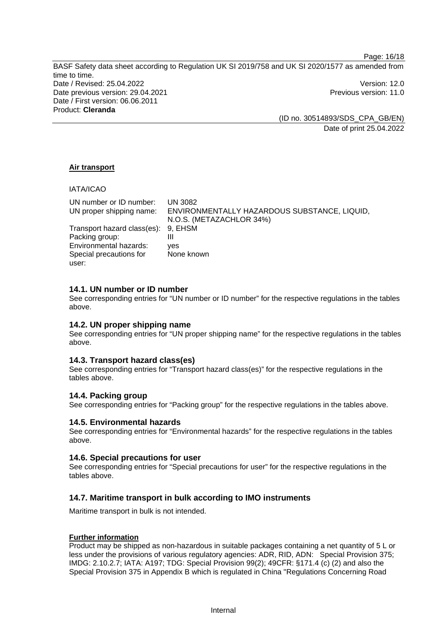Page: 16/18

BASF Safety data sheet according to Regulation UK SI 2019/758 and UK SI 2020/1577 as amended from time to time. Date / Revised: 25.04.2022 Version: 12.0 Date previous version: 29.04.2021 **Previous version: 11.0** Previous version: 11.0 Date / First version: 06.06.2011 Product: **Cleranda** 

(ID no. 30514893/SDS\_CPA\_GB/EN) Date of print 25.04.2022

# **Air transport**

### IATA/ICAO

| UN number or ID number:             | UN 3082                                      |
|-------------------------------------|----------------------------------------------|
| UN proper shipping name:            | ENVIRONMENTALLY HAZARDOUS SUBSTANCE, LIQUID, |
|                                     | N.O.S. (METAZACHLOR 34%)                     |
| Transport hazard class(es): 9, EHSM |                                              |
| Packing group:                      | Ш                                            |
| Environmental hazards:              | ves                                          |
| Special precautions for             | None known                                   |
| user:                               |                                              |

# **14.1. UN number or ID number**

See corresponding entries for "UN number or ID number" for the respective regulations in the tables above.

# **14.2. UN proper shipping name**

See corresponding entries for "UN proper shipping name" for the respective regulations in the tables above.

# **14.3. Transport hazard class(es)**

See corresponding entries for "Transport hazard class(es)" for the respective regulations in the tables above.

# **14.4. Packing group**

See corresponding entries for "Packing group" for the respective regulations in the tables above.

# **14.5. Environmental hazards**

See corresponding entries for "Environmental hazards" for the respective regulations in the tables above.

# **14.6. Special precautions for user**

See corresponding entries for "Special precautions for user" for the respective regulations in the tables above.

# **14.7. Maritime transport in bulk according to IMO instruments**

Maritime transport in bulk is not intended.

#### **Further information**

Product may be shipped as non-hazardous in suitable packages containing a net quantity of 5 L or less under the provisions of various regulatory agencies: ADR, RID, ADN: Special Provision 375; IMDG: 2.10.2.7; IATA: A197; TDG: Special Provision 99(2); 49CFR: §171.4 (c) (2) and also the Special Provision 375 in Appendix B which is regulated in China "Regulations Concerning Road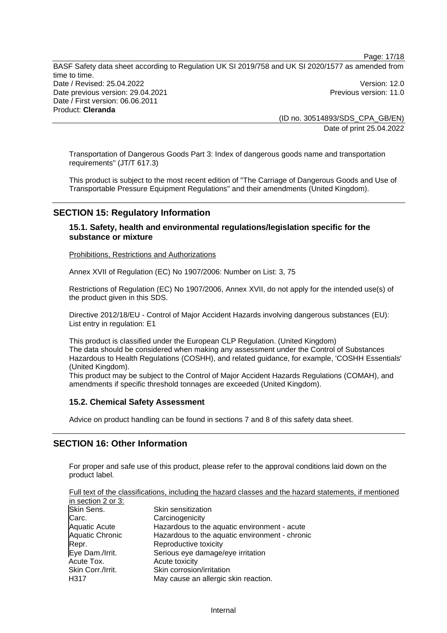> (ID no. 30514893/SDS\_CPA\_GB/EN) Date of print 25.04.2022

Page: 17/18

Transportation of Dangerous Goods Part 3: Index of dangerous goods name and transportation requirements" (JT/T 617.3)

This product is subject to the most recent edition of "The Carriage of Dangerous Goods and Use of Transportable Pressure Equipment Regulations" and their amendments (United Kingdom).

# **SECTION 15: Regulatory Information**

# **15.1. Safety, health and environmental regulations/legislation specific for the substance or mixture**

Prohibitions, Restrictions and Authorizations

Annex XVII of Regulation (EC) No 1907/2006: Number on List: 3, 75

Restrictions of Regulation (EC) No 1907/2006, Annex XVII, do not apply for the intended use(s) of the product given in this SDS.

Directive 2012/18/EU - Control of Major Accident Hazards involving dangerous substances (EU): List entry in regulation: E1

This product is classified under the European CLP Regulation. (United Kingdom) The data should be considered when making any assessment under the Control of Substances Hazardous to Health Regulations (COSHH), and related guidance, for example, 'COSHH Essentials' (United Kingdom).

This product may be subject to the Control of Major Accident Hazards Regulations (COMAH), and amendments if specific threshold tonnages are exceeded (United Kingdom).

### **15.2. Chemical Safety Assessment**

Advice on product handling can be found in sections 7 and 8 of this safety data sheet.

# **SECTION 16: Other Information**

For proper and safe use of this product, please refer to the approval conditions laid down on the product label.

| Full text of the classifications, including the hazard classes and the hazard statements, if mentioned |  |  |
|--------------------------------------------------------------------------------------------------------|--|--|
| in section $2$ or $3$                                                                                  |  |  |

| Skin Sens.             | Skin sensitization                             |
|------------------------|------------------------------------------------|
| Carc.                  | Carcinogenicity                                |
| <b>Aquatic Acute</b>   | Hazardous to the aquatic environment - acute   |
| <b>Aquatic Chronic</b> | Hazardous to the aquatic environment - chronic |
| Repr.                  | Reproductive toxicity                          |
| Eye Dam./Irrit.        | Serious eye damage/eye irritation              |
| Acute Tox.             | Acute toxicity                                 |
| Skin Corr./Irrit.      | Skin corrosion/irritation                      |
| H317                   | May cause an allergic skin reaction.           |
|                        |                                                |